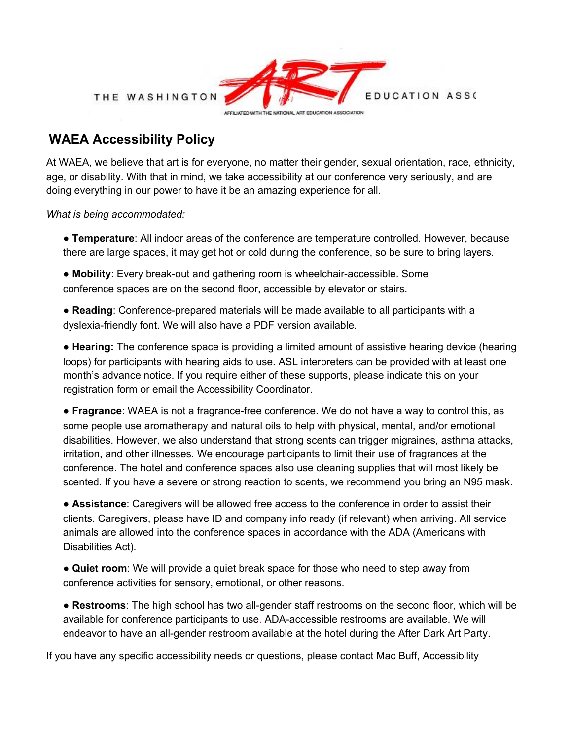

## **WAEA Accessibility Policy**

At WAEA, we believe that art is for everyone, no matter their gender, sexual orientation, race, ethnicity, age, or disability. With that in mind, we take accessibility at our conference very seriously, and are doing everything in our power to have it be an amazing experience for all.

*What is being accommodated:*

● **Temperature**: All indoor areas of the conference are temperature controlled. However, because there are large spaces, it may get hot or cold during the conference, so be sure to bring layers.

● **Mobility**: Every break-out and gathering room is wheelchair-accessible. Some conference spaces are on the second floor, accessible by elevator or stairs.

● **Reading**: Conference-prepared materials will be made available to all participants with a dyslexia-friendly font. We will also have a PDF version available.

● **Hearing:** The conference space is providing a limited amount of assistive hearing device (hearing loops) for participants with hearing aids to use. ASL interpreters can be provided with at least one month's advance notice. If you require either of these supports, please indicate this on your registration form or email the Accessibility Coordinator.

● **Fragrance**: WAEA is not a fragrance-free conference. We do not have a way to control this, as some people use aromatherapy and natural oils to help with physical, mental, and/or emotional disabilities. However, we also understand that strong scents can trigger migraines, asthma attacks, irritation, and other illnesses. We encourage participants to limit their use of fragrances at the conference. The hotel and conference spaces also use cleaning supplies that will most likely be scented. If you have a severe or strong reaction to scents, we recommend you bring an N95 mask.

● **Assistance**: Caregivers will be allowed free access to the conference in order to assist their clients. Caregivers, please have ID and company info ready (if relevant) when arriving. All service animals are allowed into the conference spaces in accordance with the ADA (Americans with Disabilities Act).

● **Quiet room**: We will provide a quiet break space for those who need to step away from conference activities for sensory, emotional, or other reasons.

● **Restrooms**: The high school has two all-gender staff restrooms on the second floor, which will be available for conference participants to use. ADA-accessible restrooms are available. We will endeavor to have an all-gender restroom available at the hotel during the After Dark Art Party.

If you have any specific accessibility needs or questions, please contact Mac Buff, Accessibility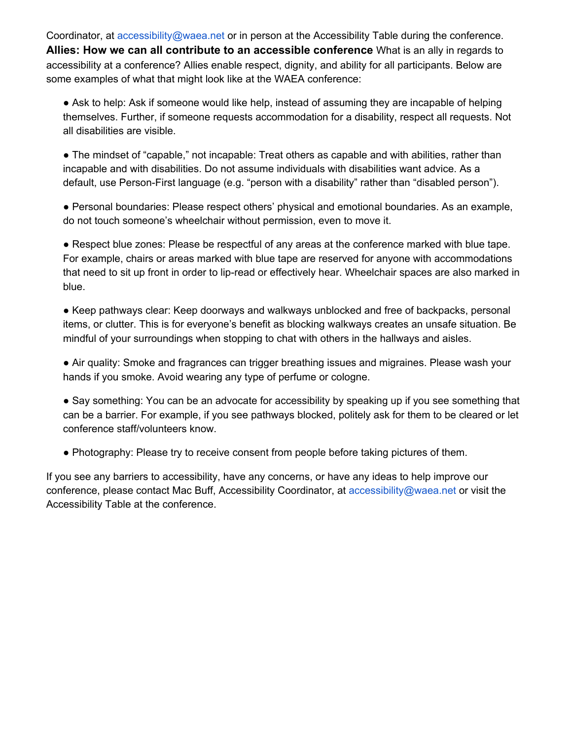Coordinator, at accessibility@waea.net or in person at the Accessibility Table during the conference. **Allies: How we can all contribute to an accessible conference** What is an ally in regards to accessibility at a conference? Allies enable respect, dignity, and ability for all participants. Below are some examples of what that might look like at the WAEA conference:

● Ask to help: Ask if someone would like help, instead of assuming they are incapable of helping themselves. Further, if someone requests accommodation for a disability, respect all requests. Not all disabilities are visible.

● The mindset of "capable," not incapable: Treat others as capable and with abilities, rather than incapable and with disabilities. Do not assume individuals with disabilities want advice. As a default, use Person-First language (e.g. "person with a disability" rather than "disabled person").

● Personal boundaries: Please respect others' physical and emotional boundaries. As an example, do not touch someone's wheelchair without permission, even to move it.

● Respect blue zones: Please be respectful of any areas at the conference marked with blue tape. For example, chairs or areas marked with blue tape are reserved for anyone with accommodations that need to sit up front in order to lip-read or effectively hear. Wheelchair spaces are also marked in blue.

● Keep pathways clear: Keep doorways and walkways unblocked and free of backpacks, personal items, or clutter. This is for everyone's benefit as blocking walkways creates an unsafe situation. Be mindful of your surroundings when stopping to chat with others in the hallways and aisles.

• Air quality: Smoke and fragrances can trigger breathing issues and migraines. Please wash your hands if you smoke. Avoid wearing any type of perfume or cologne.

• Say something: You can be an advocate for accessibility by speaking up if you see something that can be a barrier. For example, if you see pathways blocked, politely ask for them to be cleared or let conference staff/volunteers know.

• Photography: Please try to receive consent from people before taking pictures of them.

If you see any barriers to accessibility, have any concerns, or have any ideas to help improve our conference, please contact Mac Buff, Accessibility Coordinator, at accessibility@waea.net or visit the Accessibility Table at the conference.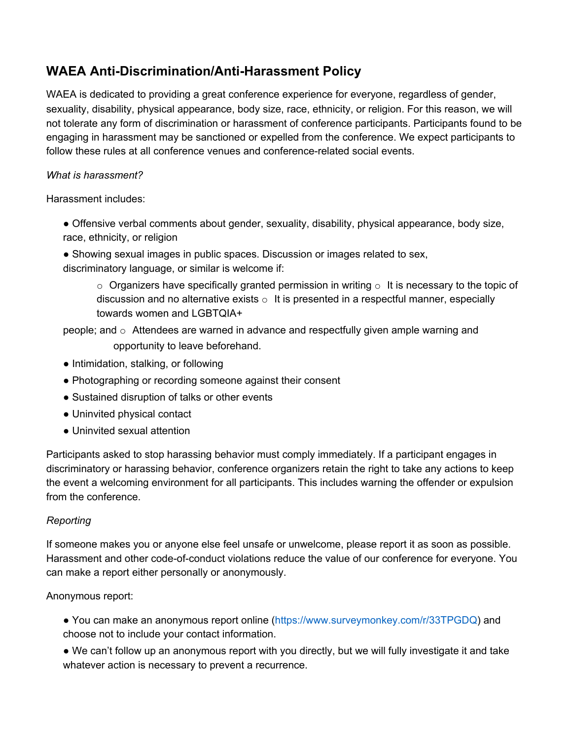# **WAEA Anti-Discrimination/Anti-Harassment Policy**

WAEA is dedicated to providing a great conference experience for everyone, regardless of gender, sexuality, disability, physical appearance, body size, race, ethnicity, or religion. For this reason, we will not tolerate any form of discrimination or harassment of conference participants. Participants found to be engaging in harassment may be sanctioned or expelled from the conference. We expect participants to follow these rules at all conference venues and conference-related social events.

### *What is harassment?*

Harassment includes:

- Offensive verbal comments about gender, sexuality, disability, physical appearance, body size, race, ethnicity, or religion
- Showing sexual images in public spaces. Discussion or images related to sex, discriminatory language, or similar is welcome if:
	- $\circ$  Organizers have specifically granted permission in writing  $\circ$  It is necessary to the topic of discussion and no alternative exists  $\circ$  It is presented in a respectful manner, especially towards women and LGBTQIA+

people; and  $\circ$  Attendees are warned in advance and respectfully given ample warning and opportunity to leave beforehand.

- Intimidation, stalking, or following
- Photographing or recording someone against their consent
- Sustained disruption of talks or other events
- Uninvited physical contact
- Uninvited sexual attention

Participants asked to stop harassing behavior must comply immediately. If a participant engages in discriminatory or harassing behavior, conference organizers retain the right to take any actions to keep the event a welcoming environment for all participants. This includes warning the offender or expulsion from the conference.

### *Reporting*

If someone makes you or anyone else feel unsafe or unwelcome, please report it as soon as possible. Harassment and other code-of-conduct violations reduce the value of our conference for everyone. You can make a report either personally or anonymously.

### Anonymous report:

- You can make an anonymous report online (https://www.surveymonkey.com/r/33TPGDQ) and choose not to include your contact information.
- We can't follow up an anonymous report with you directly, but we will fully investigate it and take whatever action is necessary to prevent a recurrence.